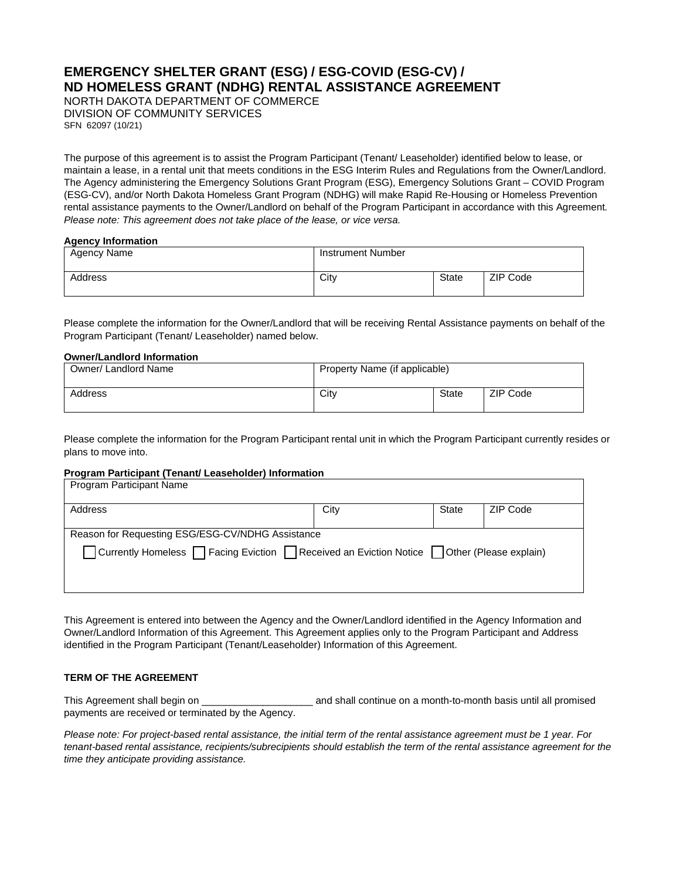# **EMERGENCY SHELTER GRANT (ESG) / ESG-COVID (ESG-CV) / ND HOMELESS GRANT (NDHG) RENTAL ASSISTANCE AGREEMENT**

NORTH DAKOTA DEPARTMENT OF COMMERCE DIVISION OF COMMUNITY SERVICES SFN 62097 (10/21)

The purpose of this agreement is to assist the Program Participant (Tenant/ Leaseholder) identified below to lease, or maintain a lease, in a rental unit that meets conditions in the ESG Interim Rules and Regulations from the Owner/Landlord. The Agency administering the Emergency Solutions Grant Program (ESG), Emergency Solutions Grant – COVID Program (ESG-CV), and/or North Dakota Homeless Grant Program (NDHG) will make Rapid Re-Housing or Homeless Prevention rental assistance payments to the Owner/Landlord on behalf of the Program Participant in accordance with this Agreement*. Please note: This agreement does not take place of the lease, or vice versa.*

#### **Agency Information**

| Agency Name | <b>Instrument Number</b> |              |          |
|-------------|--------------------------|--------------|----------|
| Address     | City                     | <b>State</b> | ZIP Code |

Please complete the information for the Owner/Landlord that will be receiving Rental Assistance payments on behalf of the Program Participant (Tenant/ Leaseholder) named below.

#### **Owner/Landlord Information**

| Owner/ Landlord Name | Property Name (if applicable) |              |          |
|----------------------|-------------------------------|--------------|----------|
| Address              | City                          | <b>State</b> | ZIP Code |

Please complete the information for the Program Participant rental unit in which the Program Participant currently resides or plans to move into.

#### **Program Participant (Tenant/ Leaseholder) Information**

| Program Participant Name                                                              |      |       |          |
|---------------------------------------------------------------------------------------|------|-------|----------|
| Address                                                                               | City | State | ZIP Code |
| Reason for Requesting ESG/ESG-CV/NDHG Assistance                                      |      |       |          |
| Currently Homeless Facing Eviction Received an Eviction Notice Other (Please explain) |      |       |          |
|                                                                                       |      |       |          |
|                                                                                       |      |       |          |

This Agreement is entered into between the Agency and the Owner/Landlord identified in the Agency Information and Owner/Landlord Information of this Agreement. This Agreement applies only to the Program Participant and Address identified in the Program Participant (Tenant/Leaseholder) Information of this Agreement.

#### **TERM OF THE AGREEMENT**

This Agreement shall begin on \_\_\_\_\_\_\_\_\_\_\_\_\_\_\_\_\_\_\_\_ and shall continue on a month-to-month basis until all promised payments are received or terminated by the Agency.

*Please note: For project-based rental assistance, the initial term of the rental assistance agreement must be 1 year. For tenant-based rental assistance, recipients/subrecipients should establish the term of the rental assistance agreement for the time they anticipate providing assistance.*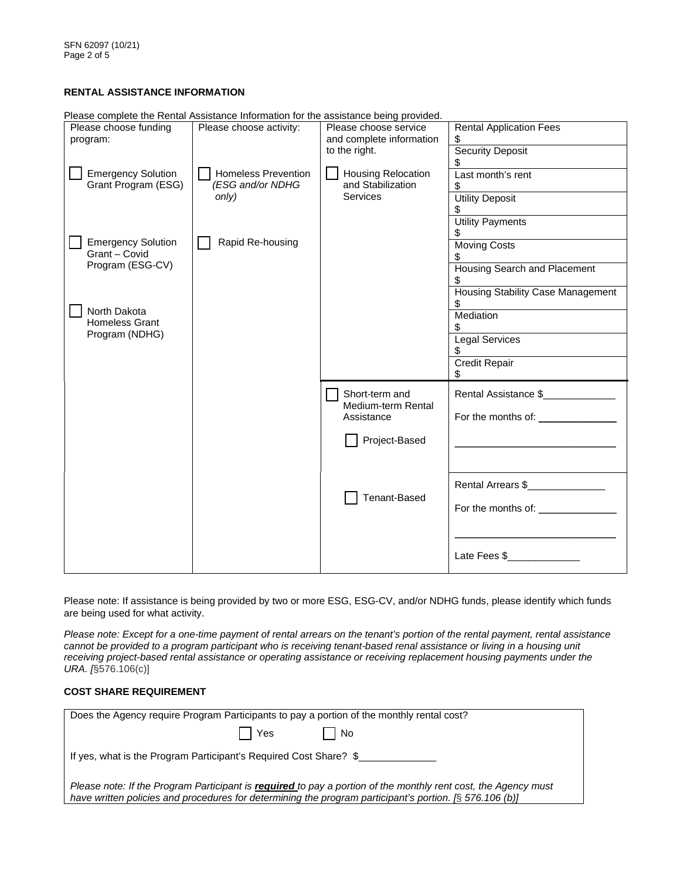# **RENTAL ASSISTANCE INFORMATION**

| Please complete the Kental Assistance information for the assistance being provided. |                            |                           |                                          |
|--------------------------------------------------------------------------------------|----------------------------|---------------------------|------------------------------------------|
| Please choose funding                                                                | Please choose activity:    | Please choose service     | <b>Rental Application Fees</b>           |
| program:                                                                             |                            | and complete information  | \$                                       |
|                                                                                      |                            | to the right.             | <b>Security Deposit</b>                  |
|                                                                                      |                            |                           | \$                                       |
| <b>Emergency Solution</b>                                                            | <b>Homeless Prevention</b> | <b>Housing Relocation</b> | Last month's rent                        |
| Grant Program (ESG)                                                                  | (ESG and/or NDHG           | and Stabilization         | \$                                       |
|                                                                                      | only)                      | Services                  | <b>Utility Deposit</b>                   |
|                                                                                      |                            |                           | \$                                       |
|                                                                                      |                            |                           | <b>Utility Payments</b>                  |
|                                                                                      |                            |                           |                                          |
| <b>Emergency Solution</b>                                                            | Rapid Re-housing           |                           | <b>Moving Costs</b>                      |
| Grant - Covid                                                                        |                            |                           |                                          |
| Program (ESG-CV)                                                                     |                            |                           | <b>Housing Search and Placement</b>      |
|                                                                                      |                            |                           |                                          |
|                                                                                      |                            |                           | <b>Housing Stability Case Management</b> |
|                                                                                      |                            |                           |                                          |
| North Dakota                                                                         |                            |                           | Mediation                                |
| <b>Homeless Grant</b>                                                                |                            |                           | \$                                       |
| Program (NDHG)                                                                       |                            |                           | <b>Legal Services</b>                    |
|                                                                                      |                            |                           | \$                                       |
|                                                                                      |                            |                           |                                          |
|                                                                                      |                            |                           | <b>Credit Repair</b>                     |
|                                                                                      |                            |                           | \$                                       |
|                                                                                      |                            | Short-term and            | Rental Assistance \$                     |
|                                                                                      |                            | Medium-term Rental        |                                          |
|                                                                                      |                            | Assistance                | For the months of: _______________       |
|                                                                                      |                            |                           |                                          |
|                                                                                      |                            | Project-Based             |                                          |
|                                                                                      |                            |                           |                                          |
|                                                                                      |                            |                           |                                          |
|                                                                                      |                            |                           |                                          |
|                                                                                      |                            |                           | Rental Arrears \$                        |
|                                                                                      |                            | Tenant-Based              |                                          |
|                                                                                      |                            |                           | For the months of: _______________       |
|                                                                                      |                            |                           |                                          |
|                                                                                      |                            |                           |                                          |
|                                                                                      |                            |                           |                                          |
|                                                                                      |                            |                           | Late Fees \$                             |
|                                                                                      |                            |                           |                                          |
|                                                                                      |                            |                           |                                          |

Please complete the Rental Assistance Information for the assistance being provided.

Please note: If assistance is being provided by two or more ESG, ESG-CV, and/or NDHG funds, please identify which funds are being used for what activity.

*Please note: Except for a one-time payment of rental arrears on the tenant's portion of the rental payment, rental assistance cannot be provided to a program participant who is receiving tenant-based renal assistance or living in a housing unit receiving project-based rental assistance or operating assistance or receiving replacement housing payments under the URA. [*§576.106(c)]

## **COST SHARE REQUIREMENT**

| Does the Agency require Program Participants to pay a portion of the monthly rental cost?                                                                                                                                 |
|---------------------------------------------------------------------------------------------------------------------------------------------------------------------------------------------------------------------------|
| l Yes<br>l No                                                                                                                                                                                                             |
| If yes, what is the Program Participant's Required Cost Share? \$                                                                                                                                                         |
| Please note: If the Program Participant is required to pay a portion of the monthly rent cost, the Agency must<br>have written policies and procedures for determining the program participant's portion. [§ 576.106 (b)] |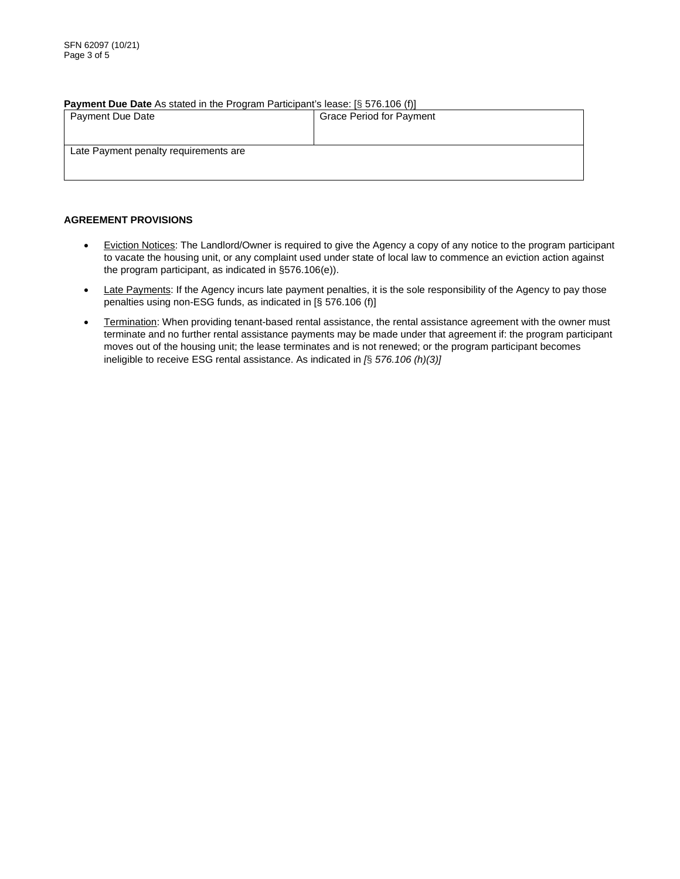## **Payment Due Date** As stated in the Program Participant's lease: [§ 576.106 (f)]

| <b>T a fine the Date</b> As stated in the Fregram Famologitt's lease. If STO, 100 (1) I |                                 |
|-----------------------------------------------------------------------------------------|---------------------------------|
| Payment Due Date                                                                        | <b>Grace Period for Payment</b> |
|                                                                                         |                                 |
|                                                                                         |                                 |
| Late Payment penalty requirements are                                                   |                                 |
|                                                                                         |                                 |
|                                                                                         |                                 |

#### **AGREEMENT PROVISIONS**

- Eviction Notices: The Landlord/Owner is required to give the Agency a copy of any notice to the program participant to vacate the housing unit, or any complaint used under state of local law to commence an eviction action against the program participant, as indicated in §576.106(e)).
- Late Payments: If the Agency incurs late payment penalties, it is the sole responsibility of the Agency to pay those penalties using non-ESG funds, as indicated in [§ 576.106 (f)]
- Termination: When providing tenant-based rental assistance, the rental assistance agreement with the owner must terminate and no further rental assistance payments may be made under that agreement if: the program participant moves out of the housing unit; the lease terminates and is not renewed; or the program participant becomes ineligible to receive ESG rental assistance. As indicated in *[*§ *576.106 (h)(3)]*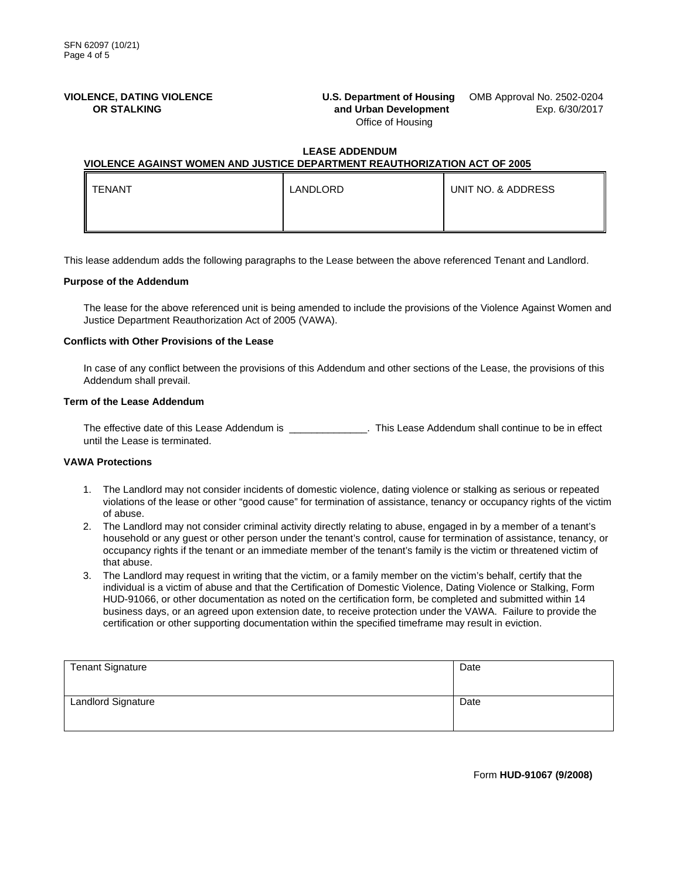# **VIOLENCE, DATING VIOLENCE**<br>**U.S. Department of Housing CMB Approval No. 2502-0204<br>CR STALKING LITER CONSISTING LITER AND UP And Urban Development Literation City, 6/30/2017**

and Urban Development Office of Housing

| <b>LEASE ADDENDUM</b><br>VIOLENCE AGAINST WOMEN AND JUSTICE DEPARTMENT REAUTHORIZATION ACT OF 2005 |          |                    |
|----------------------------------------------------------------------------------------------------|----------|--------------------|
| <b>TENANT</b>                                                                                      | LANDLORD | UNIT NO. & ADDRESS |

This lease addendum adds the following paragraphs to the Lease between the above referenced Tenant and Landlord.

#### **Purpose of the Addendum**

The lease for the above referenced unit is being amended to include the provisions of the Violence Against Women and Justice Department Reauthorization Act of 2005 (VAWA).

#### **Conflicts with Other Provisions of the Lease**

In case of any conflict between the provisions of this Addendum and other sections of the Lease, the provisions of this Addendum shall prevail.

#### **Term of the Lease Addendum**

The effective date of this Lease Addendum is \_\_\_\_\_\_\_\_\_\_\_\_\_\_. This Lease Addendum shall continue to be in effect until the Lease is terminated.

#### **VAWA Protections**

- 1. The Landlord may not consider incidents of domestic violence, dating violence or stalking as serious or repeated violations of the lease or other "good cause" for termination of assistance, tenancy or occupancy rights of the victim of abuse.
- 2. The Landlord may not consider criminal activity directly relating to abuse, engaged in by a member of a tenant's household or any guest or other person under the tenant's control, cause for termination of assistance, tenancy, or occupancy rights if the tenant or an immediate member of the tenant's family is the victim or threatened victim of that abuse.
- 3. The Landlord may request in writing that the victim, or a family member on the victim's behalf, certify that the individual is a victim of abuse and that the Certification of Domestic Violence, Dating Violence or Stalking, Form HUD-91066, or other documentation as noted on the certification form, be completed and submitted within 14 business days, or an agreed upon extension date, to receive protection under the VAWA. Failure to provide the certification or other supporting documentation within the specified timeframe may result in eviction.

| <b>Tenant Signature</b>   | Date |
|---------------------------|------|
|                           |      |
| <b>Landlord Signature</b> | Date |
|                           |      |

Form **HUD-91067 (9/2008)**